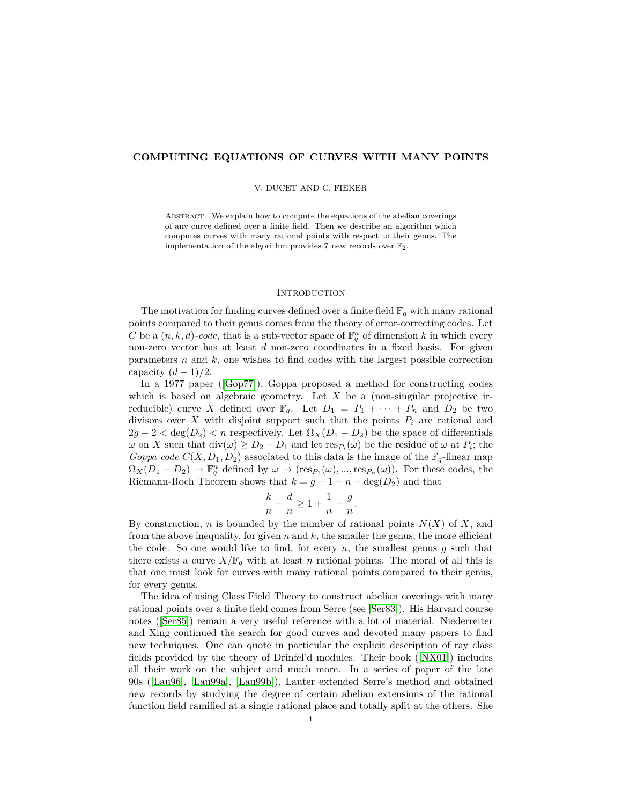# **COMPUTING EQUATIONS OF CURVES WITH MANY POINTS**

#### V. DUCET AND C. FIEKER

Abstract. We explain how to compute the equations of the abelian coverings of any curve defined over a finite field. Then we describe an algorithm which computes curves with many rational points with respect to their genus. The implementation of the algorithm provides 7 new records over  $\mathbb{F}_2$ .

### **INTRODUCTION**

The motivation for finding curves defined over a finite field  $\mathbb{F}_q$  with many rational points compared to their genus comes from the theory of error-correcting codes. Let *C* be a  $(n, k, d)$ -code, that is a sub-vector space of  $\mathbb{F}_q^n$  of dimension *k* in which every non-zero vector has at least *d* non-zero coordinates in a fixed basis. For given parameters *n* and *k*, one wishes to find codes with the largest possible correction capacity  $(d-1)/2$ .

In a 1977 paper ([\[Gop77\]](#page-12-0)), Goppa proposed a method for constructing codes which is based on algebraic geometry. Let *X* be a (non-singular projective irreducible) curve *X* defined over  $\mathbb{F}_q$ . Let  $D_1 = P_1 + \cdots + P_n$  and  $D_2$  be two divisors over *X* with disjoint support such that the points  $P_i$  are rational and  $2g - 2 < \deg(D_2) < n$  respectively. Let  $\Omega_X(D_1 - D_2)$  be the space of differentials *ω* on *X* such that  $div(ω) ≥ D<sub>2</sub> − D<sub>1</sub>$  and let  $res_{P<sub>i</sub>}(ω)$  be the residue of *ω* at  $P<sub>i</sub>$ ; the *Goppa code*  $C(X, D_1, D_2)$  associated to this data is the image of the  $\mathbb{F}_q$ -linear map  $\Omega_X(D_1 - D_2) \to \mathbb{F}_q^n$  defined by  $\omega \mapsto (\text{res}_{P_1}(\omega), ..., \text{res}_{P_n}(\omega))$ . For these codes, the Riemann-Roch Theorem shows that  $k = g - 1 + n - \deg(D_2)$  and that

$$
\frac{k}{n} + \frac{d}{n} \ge 1 + \frac{1}{n} - \frac{g}{n}.
$$

By construction, *n* is bounded by the number of rational points *N*(*X*) of *X*, and from the above inequality, for given  $n$  and  $k$ , the smaller the genus, the more efficient the code. So one would like to find, for every  $n$ , the smallest genus  $g$  such that there exists a curve  $X/\mathbb{F}_q$  with at least *n* rational points. The moral of all this is that one must look for curves with many rational points compared to their genus, for every genus.

The idea of using Class Field Theory to construct abelian coverings with many rational points over a finite field comes from Serre (see [\[Ser83\]](#page-13-0)). His Harvard course notes ([\[Ser85\]](#page-13-1)) remain a very useful reference with a lot of material. Niederreiter and Xing continued the search for good curves and devoted many papers to find new techniques. One can quote in particular the explicit description of ray class fields provided by the theory of Drinfel'd modules. Their book ([\[NX01\]](#page-12-1)) includes all their work on the subject and much more. In a series of paper of the late 90s ([\[Lau96\]](#page-12-2), [\[Lau99a\]](#page-12-3), [\[Lau99b\]](#page-12-4)), Lauter extended Serre's method and obtained new records by studying the degree of certain abelian extensions of the rational function field ramified at a single rational place and totally split at the others. She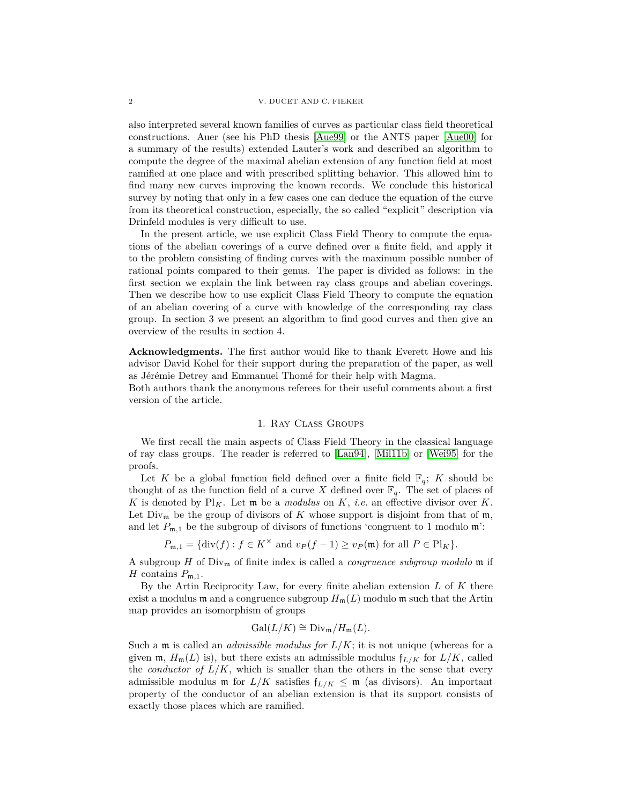also interpreted several known families of curves as particular class field theoretical constructions. Auer (see his PhD thesis [\[Aue99\]](#page-12-5) or the ANTS paper [\[Aue00\]](#page-12-6) for a summary of the results) extended Lauter's work and described an algorithm to compute the degree of the maximal abelian extension of any function field at most ramified at one place and with prescribed splitting behavior. This allowed him to find many new curves improving the known records. We conclude this historical survey by noting that only in a few cases one can deduce the equation of the curve from its theoretical construction, especially, the so called "explicit" description via Drinfeld modules is very difficult to use.

In the present article, we use explicit Class Field Theory to compute the equations of the abelian coverings of a curve defined over a finite field, and apply it to the problem consisting of finding curves with the maximum possible number of rational points compared to their genus. The paper is divided as follows: in the first section we explain the link between ray class groups and abelian coverings. Then we describe how to use explicit Class Field Theory to compute the equation of an abelian covering of a curve with knowledge of the corresponding ray class group. In section 3 we present an algorithm to find good curves and then give an overview of the results in section 4.

**Acknowledgments.** The first author would like to thank Everett Howe and his advisor David Kohel for their support during the preparation of the paper, as well as Jérémie Detrey and Emmanuel Thomé for their help with Magma.

Both authors thank the anonymous referees for their useful comments about a first version of the article.

## 1. Ray Class Groups

We first recall the main aspects of Class Field Theory in the classical language of ray class groups. The reader is referred to [\[Lan94\]](#page-12-7), [\[Mil11b\]](#page-12-8) or [\[Wei95\]](#page-13-2) for the proofs.

Let *K* be a global function field defined over a finite field  $\mathbb{F}_q$ ; *K* should be thought of as the function field of a curve *X* defined over  $\mathbb{F}_q$ . The set of places of *K* is denoted by  $Pl_K$ . Let **m** be a *modulus* on *K*, *i.e.* an effective divisor over *K*. Let  $Div_m$  be the group of divisors of K whose support is disjoint from that of m, and let  $P_{m,1}$  be the subgroup of divisors of functions 'congruent to 1 modulo  $m$ ':

 $P_{\mathfrak{m},1} = {\text{div}(f) : f \in K^\times \text{ and } v_P(f-1) \ge v_P(\mathfrak{m}) \text{ for all } P \in \text{Pl}_K}$ .

A subgroup *H* of Div<sup>m</sup> of finite index is called a *congruence subgroup modulo* m if *H* contains  $P_{m,1}$ .

By the Artin Reciprocity Law, for every finite abelian extension *L* of *K* there exist a modulus  $\mathfrak{m}$  and a congruence subgroup  $H_{\mathfrak{m}}(L)$  modulo  $\mathfrak{m}$  such that the Artin map provides an isomorphism of groups

$$
Gal(L/K) \cong Div_{\mathfrak{m}}/H_{\mathfrak{m}}(L).
$$

Such a  $\mathfrak{m}$  is called an *admissible modulus for*  $L/K$ ; it is not unique (whereas for a given  $\mathfrak{m}$ ,  $H_{\mathfrak{m}}(L)$  is), but there exists an admissible modulus  $f_{L/K}$  for  $L/K$ , called the *conductor of*  $L/K$ , which is smaller than the others in the sense that every admissible modulus m for  $L/K$  satisfies  $f_{L/K} \leq m$  (as divisors). An important property of the conductor of an abelian extension is that its support consists of exactly those places which are ramified.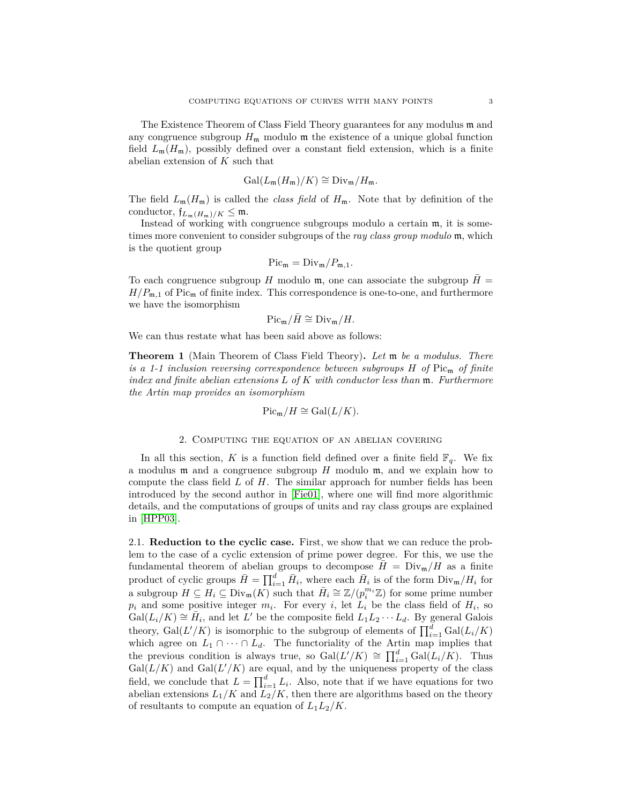The Existence Theorem of Class Field Theory guarantees for any modulus m and any congruence subgroup  $H_{\mathfrak{m}}$  modulo  $\mathfrak{m}$  the existence of a unique global function field  $L_m(H_m)$ , possibly defined over a constant field extension, which is a finite abelian extension of *K* such that

$$
\operatorname{Gal}(L_{\mathfrak{m}}(H_{\mathfrak{m}})/K) \cong \operatorname{Div}_{\mathfrak{m}}/H_{\mathfrak{m}}.
$$

The field  $L_m(H_m)$  is called the *class field* of  $H_m$ . Note that by definition of the conductor,  $f_{L_m(H_m)/K} \leq m$ .

Instead of working with congruence subgroups modulo a certain m, it is sometimes more convenient to consider subgroups of the *ray class group modulo* m, which is the quotient group

$$
\operatorname{Pic}_{\mathfrak{m}} = \operatorname{Div}_{\mathfrak{m}}/P_{\mathfrak{m},1}.
$$

To each congruence subgroup *H* modulo  $m$ , one can associate the subgroup  $H =$  $H/P_{m,1}$  of Pic<sub>m</sub> of finite index. This correspondence is one-to-one, and furthermore we have the isomorphism

$$
\mathrm{Pic}_{\mathfrak{m}}/\bar{H} \cong \mathrm{Div}_{\mathfrak{m}}/H.
$$

We can thus restate what has been said above as follows:

**Theorem 1** (Main Theorem of Class Field Theory)**.** *Let* m *be a modulus. There is a 1-1 inclusion reversing correspondence between subgroups H of* Pic<sup>m</sup> *of finite index and finite abelian extensions L of K with conductor less than* m*. Furthermore the Artin map provides an isomorphism*

$$
\operatorname{Pic}_{\mathfrak{m}}/H \cong \operatorname{Gal}(L/K).
$$

### 2. Computing the equation of an abelian covering

In all this section, *K* is a function field defined over a finite field  $\mathbb{F}_q$ . We fix a modulus m and a congruence subgroup *H* modulo m, and we explain how to compute the class field *L* of *H*. The similar approach for number fields has been introduced by the second author in [\[Fie01\]](#page-12-9), where one will find more algorithmic details, and the computations of groups of units and ray class groups are explained in [\[HPP03\]](#page-12-10).

2.1. **Reduction to the cyclic case.** First, we show that we can reduce the problem to the case of a cyclic extension of prime power degree. For this, we use the fundamental theorem of abelian groups to decompose  $\bar{H} = Div_m/H$  as a finite product of cyclic groups  $\bar{H} = \prod_{i=1}^{d} \bar{H}_i$ , where each  $\bar{H}_i$  is of the form  $\text{Div}_{m}/H_i$  for a subgroup  $H \subseteq H_i \subseteq \text{Div}_{\mathfrak{m}}(K)$  such that  $\overline{H}_i \cong \mathbb{Z}/(p_i^{m_i}\mathbb{Z})$  for some prime number  $p_i$  and some positive integer  $m_i$ . For every *i*, let  $L_i$  be the class field of  $H_i$ , so  $Gal(L_i/K) \cong \overline{H}_i$ , and let  $\overline{L}'$  be the composite field  $L_1L_2 \cdots L_d$ . By general Galois theory,  $Gal(L'/K)$  is isomorphic to the subgroup of elements of  $\prod_{i=1}^{d} Gal(L_i/K)$ which agree on  $L_1 \cap \cdots \cap L_d$ . The functoriality of the Artin map implies that the previous condition is always true, so  $Gal(L'/K) \cong \prod_{i=1}^{d} Gal(L_i/K)$ . Thus  $Gal(L/K)$  and  $Gal(L'/K)$  are equal, and by the uniqueness property of the class field, we conclude that  $L = \prod_{i=1}^{d} L_i$ . Also, note that if we have equations for two abelian extensions  $L_1/K$  and  $L_2/K$ , then there are algorithms based on the theory of resultants to compute an equation of  $L_1L_2/K$ .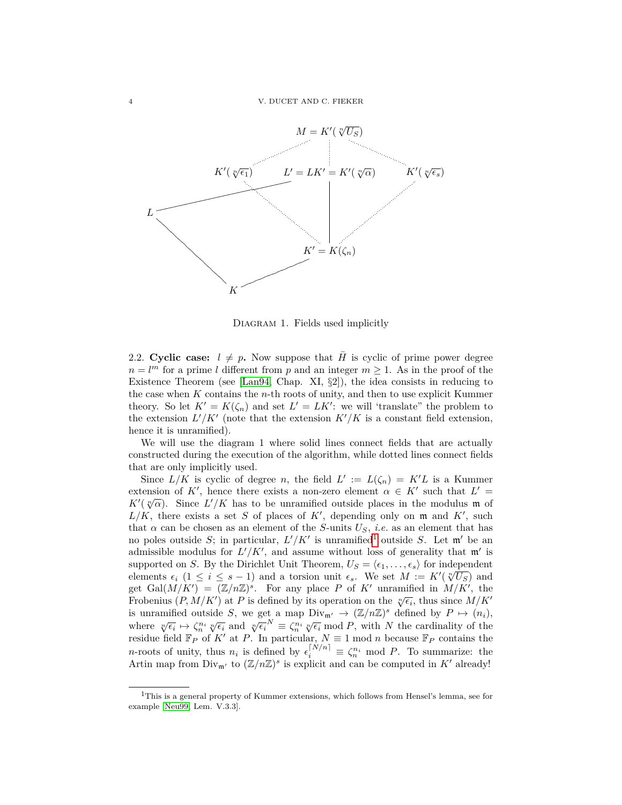

Diagram 1. Fields used implicitly

2.2. **Cyclic case:**  $l \neq p$ . Now suppose that  $\overline{H}$  is cyclic of prime power degree  $n = l<sup>m</sup>$  for a prime *l* different from *p* and an integer  $m \ge 1$ . As in the proof of the Existence Theorem (see [\[Lan94,](#page-12-7) Chap. XI,  $\S2$ ]), the idea consists in reducing to the case when *K* contains the *n*-th roots of unity, and then to use explicit Kummer theory. So let  $K' = K(\zeta_n)$  and set  $L' = LK'$ : we will 'translate" the problem to the extension  $L'/K'$  (note that the extension  $K'/K$  is a constant field extension, hence it is unramified).

We will use the diagram 1 where solid lines connect fields that are actually constructed during the execution of the algorithm, while dotted lines connect fields that are only implicitly used.

Since  $L/K$  is cyclic of degree *n*, the field  $L' := L(\zeta_n) = K'L$  is a Kummer extension of K', hence there exists a non-zero element  $\alpha \in K'$  such that  $L' =$ *K*<sup> $\ell$ </sup>( $\sqrt[n]{\alpha}$ ). Since *L'*/*K* has to be unramified outside places in the modulus **m** of  $L/K$ , there exists a set *S* of places of  $K'$ , depending only on m and  $K'$ , such that  $\alpha$  can be chosen as an element of the *S*-units  $U_S$ , *i.e.* as an element that has no poles outside *S*; in particular,  $L'/K'$  is unramified<sup>[1](#page-3-0)</sup> outside *S*. Let  $m'$  be an admissible modulus for  $L'/K'$ , and assume without loss of generality that  $m'$  is supported on *S*. By the Dirichlet Unit Theorem,  $U_S = \langle \epsilon_1, \ldots, \epsilon_s \rangle$  for independent elements  $\epsilon_i$  (1  $\leq i \leq s - 1$ ) and a torsion unit  $\epsilon_s$ . We set  $M := K'(\sqrt[n]{U_S})$  and get Gal $(M/K') = (\mathbb{Z}/n\mathbb{Z})^s$ . For any place P of K' unramified in  $M/K'$ , the Frobenius  $(P, M/K')$  at *P* is defined by its operation on the  $\sqrt[n]{\epsilon_i}$ , thus since  $M/K'$ is unramified outside *S*, we get a map  $Div_{m'} \to (\mathbb{Z}/n\mathbb{Z})^s$  defined by  $P \mapsto (n_i)$ , where  $\sqrt[n]{\epsilon_i} \mapsto \zeta_n^{n_i} \sqrt[n]{\epsilon_i}$  and  $\sqrt[n]{\epsilon_i}^N \equiv \zeta_n^{n_i} \sqrt[n]{\epsilon_i} \mod P$ , with *N* the cardinality of the residue field  $\mathbb{F}_P$  of K' at P. In particular,  $N \equiv 1 \mod n$  because  $\mathbb{F}_P$  contains the *n*-roots of unity, thus  $n_i$  is defined by  $\epsilon_i^{[N/n]} \equiv \zeta_n^{n_i} \mod P$ . To summarize: the Artin map from  $\text{Div}_{\mathfrak{m}'}$  to  $(\mathbb{Z}/n\mathbb{Z})^s$  is explicit and can be computed in  $K'$  already!

<span id="page-3-0"></span><sup>1</sup>This is a general property of Kummer extensions, which follows from Hensel's lemma, see for example [\[Neu99,](#page-12-11) Lem. V.3.3].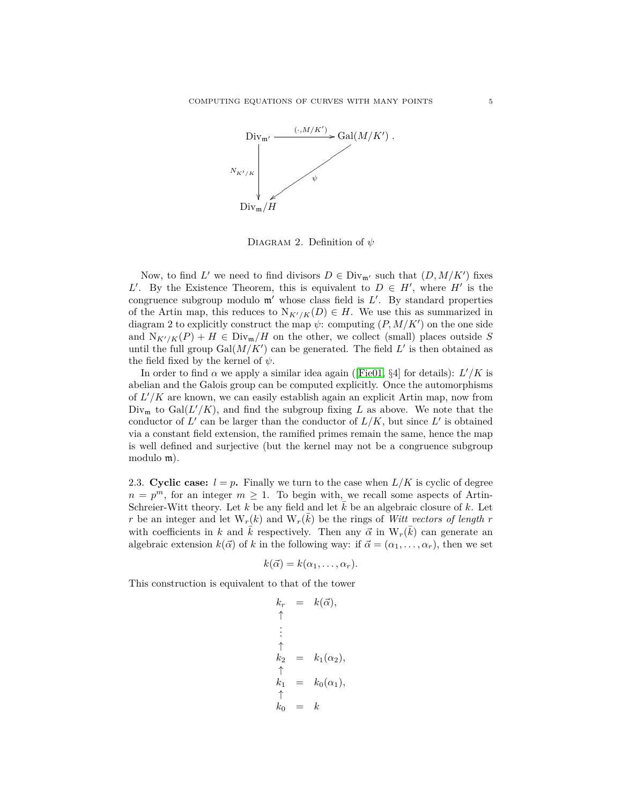

DIAGRAM 2. Definition of  $ψ$ 

Now, to find *L'* we need to find divisors  $D \in Div_{\mathfrak{m}'}$  such that  $(D, M/K')$  fixes *L*<sup>'</sup>. By the Existence Theorem, this is equivalent to  $D \in H'$ , where  $H'$  is the congruence subgroup modulo  $m'$  whose class field is  $L'$ . By standard properties of the Artin map, this reduces to  $N_{K'/K}(D) \in H$ . We use this as summarized in diagram 2 to explicitly construct the map  $\psi$ : computing  $(P, M/K')$  on the one side and  $N_{K'/K}(P) + H \in Div_m/H$  on the other, we collect (small) places outside *S* until the full group  $Gal(M/K')$  can be generated. The field  $L'$  is then obtained as the field fixed by the kernel of *ψ*.

In order to find  $\alpha$  we apply a similar idea again ([\[Fie01,](#page-12-9) §4] for details):  $L'/K$  is abelian and the Galois group can be computed explicitly. Once the automorphisms of  $L'/K$  are known, we can easily establish again an explicit Artin map, now from  $Div_{\mathfrak{m}}$  to  $Gal(L'/K)$ , and find the subgroup fixing *L* as above. We note that the conductor of  $L'$  can be larger than the conductor of  $L/K$ , but since  $L'$  is obtained via a constant field extension, the ramified primes remain the same, hence the map is well defined and surjective (but the kernel may not be a congruence subgroup modulo m).

2.3. **Cyclic case:**  $l = p$ . Finally we turn to the case when  $L/K$  is cyclic of degree  $n = p^m$ , for an integer  $m \geq 1$ . To begin with, we recall some aspects of Artin-Schreier-Witt theory. Let  $k$  be any field and let  $k$  be an algebraic closure of  $k$ . Let *r* be an integer and let  $W_r(k)$  and  $W_r(\bar{k})$  be the rings of *Witt vectors of length r* with coefficients in *k* and  $\bar{k}$  respectively. Then any  $\vec{\alpha}$  in  $W_r(\bar{k})$  can generate an algebraic extension  $k(\vec{\alpha})$  of k in the following way: if  $\vec{\alpha} = (\alpha_1, \ldots, \alpha_r)$ , then we set

$$
k(\vec{\alpha})=k(\alpha_1,\ldots,\alpha_r).
$$

This construction is equivalent to that of the tower

$$
k_r = k(\vec{\alpha}),
$$
  
\n
$$
\uparrow
$$
  
\n
$$
\vdots
$$
  
\n
$$
k_2 = k_1(\alpha_2),
$$
  
\n
$$
\uparrow
$$
  
\n
$$
k_1 = k_0(\alpha_1),
$$
  
\n
$$
\uparrow
$$
  
\n
$$
k_0 = k
$$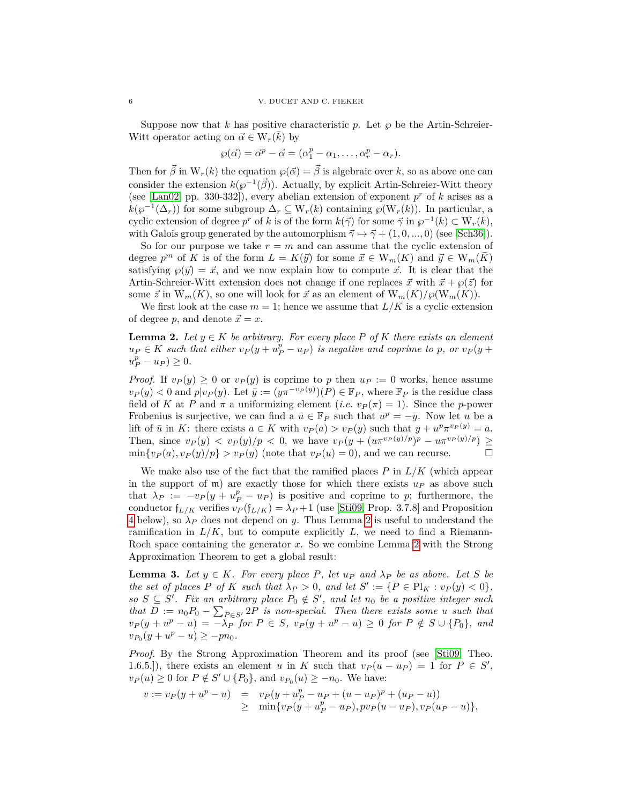Suppose now that k has positive characteristic p. Let  $\wp$  be the Artin-Schreier-Witt operator acting on  $\vec{\alpha} \in W_r(\vec{k})$  by

$$
\wp(\vec{\alpha}) = \vec{\alpha}^p - \vec{\alpha} = (\alpha_1^p - \alpha_1, \dots, \alpha_r^p - \alpha_r).
$$

Then for  $\vec{\beta}$  in  $W_r(k)$  the equation  $\wp(\vec{\alpha}) = \vec{\beta}$  is algebraic over *k*, so as above one can consider the extension  $k(\varphi^{-1}(\vec{\beta}))$ . Actually, by explicit Artin-Schreier-Witt theory (see [\[Lan02,](#page-12-12) pp. 330-332]), every abelian extension of exponent  $p^r$  of  $k$  arises as a  $k(\wp^{-1}(\Delta_r))$  for some subgroup  $\Delta_r \subseteq W_r(k)$  containing  $\wp(W_r(k))$ . In particular, a cyclic extension of degree *p<sup>r</sup>* of *k* is of the form  $k(\vec{\gamma})$  for some  $\vec{\gamma}$  in  $\varphi^{-1}(k) \subset W_r(\vec{k}),$ with Galois group generated by the automorphism  $\vec{\gamma} \mapsto \vec{\gamma} + (1, 0, ..., 0)$  (see [\[Sch36\]](#page-13-3)).

So for our purpose we take  $r = m$  and can assume that the cyclic extension of degree  $p^m$  of K is of the form  $L = K(\vec{y})$  for some  $\vec{x} \in W_m(K)$  and  $\vec{y} \in W_m(\bar{K})$ satisfying  $\wp(\vec{y}) = \vec{x}$ , and we now explain how to compute  $\vec{x}$ . It is clear that the Artin-Schreier-Witt extension does not change if one replaces  $\vec{x}$  with  $\vec{x} + \wp(\vec{z})$  for some  $\vec{z}$  in  $W_m(K)$ , so one will look for  $\vec{x}$  as an element of  $W_m(K)/\wp(W_m(K))$ .

We first look at the case  $m = 1$ ; hence we assume that  $L/K$  is a cyclic extension of degree p, and denote  $\vec{x} = x$ .

<span id="page-5-0"></span>**Lemma 2.** *Let*  $y \in K$  *be arbitrary. For every place*  $P$  *of*  $K$  *there exists an element*  $u_P \in K$  *such that either*  $v_P(y + u_P^p - u_P)$  *is negative and coprime to p, or*  $v_P(y + u_P^p - u_P)$  $u_P^p - u_P \geq 0.$ 

*Proof.* If  $v_P(y) \geq 0$  or  $v_P(y)$  is coprime to p then  $u_P := 0$  works, hence assume  $v_P(y) < 0$  and  $p|v_P(y)$ . Let  $\overline{y} := (y \pi^{-v_P(y)})(P) \in \mathbb{F}_P$ , where  $\mathbb{F}_P$  is the residue class field of *K* at *P* and  $\pi$  a uniformizing element (*i.e.*  $v_P(\pi) = 1$ ). Since the *p*-power Frobenius is surjective, we can find a  $\bar{u} \in \mathbb{F}_P$  such that  $\bar{u}^p = -\bar{y}$ . Now let *u* be a lift of  $\bar{u}$  in K: there exists  $a \in K$  with  $v_P(a) > v_P(y)$  such that  $y + u^p \pi^{v_P(y)} = a$ . Then, since  $v_P(y) < v_P(y)/p < 0$ , we have  $v_P(y + (u \pi^{v_P(y)/p})^p - u \pi^{v_P(y)/p}) \ge$  $\min\{v_P(a), v_P(y)/p\} > v_P(y)$  (note that  $v_P(u) = 0$ ), and we can recurse.

We make also use of the fact that the ramified places *P* in *L/K* (which appear in the support of  $\mathfrak{m}$ ) are exactly those for which there exists  $u_p$  as above such that  $\lambda_P := -v_P(y + u_P^p - u_P)$  is positive and coprime to *p*; furthermore, the conductor  $f_{L/K}$  verifies  $v_P(f_{L/K}) = \lambda_P + 1$  (use [\[Sti09,](#page-13-4) Prop. 3.7.8] and Proposition [4](#page-7-0) below), so *λ<sup>P</sup>* does not depend on *y*. Thus Lemma [2](#page-5-0) is useful to understand the ramification in  $L/K$ , but to compute explicitly  $L$ , we need to find a Riemann-Roch space containing the generator *x*. So we combine Lemma [2](#page-5-0) with the Strong Approximation Theorem to get a global result:

**Lemma 3.** Let  $y \in K$ *. For every place P, let*  $u_P$  *and*  $\lambda_P$  *be as above. Let S be the set of places*  $P$  *of*  $K$  *such that*  $\lambda_P > 0$ *, and let*  $S' := \{P \in Pl_K : v_P(y) < 0\},$ *so*  $S \subseteq S'$ . Fix an arbitrary place  $P_0 \notin S'$ , and let  $n_0$  be a positive integer such *that*  $D := n_0 P_0 - \sum_{P \in S'} P$  *is non-special. Then there exists some u such that*  $v_P(y + u^p - u) = -\lambda_P$  for  $P \in S$ ,  $v_P(y + u^p - u) \geq 0$  for  $P \notin S \cup \{P_0\}$ , and  $v_{P_0}(y + u^p - u) \ge -p n_0$ .

*Proof.* By the Strong Approximation Theorem and its proof (see [\[Sti09,](#page-13-4) Theo. 1.6.5.]), there exists an element *u* in *K* such that  $v_P(u - u_P) = 1$  for  $P \in S'$ ,  $v_P(u) \ge 0$  for  $P \notin S' \cup \{P_0\}$ , and  $v_{P_0}(u) \ge -n_0$ . We have:

$$
v := v_P(y + u^p - u) = v_P(y + u_P^p - u_P + (u - u_P)^p + (u_P - u))
$$
  
\n
$$
\geq \min\{v_P(y + u_P^p - u_P), pv_P(u - u_P), v_P(u_P - u)\},
$$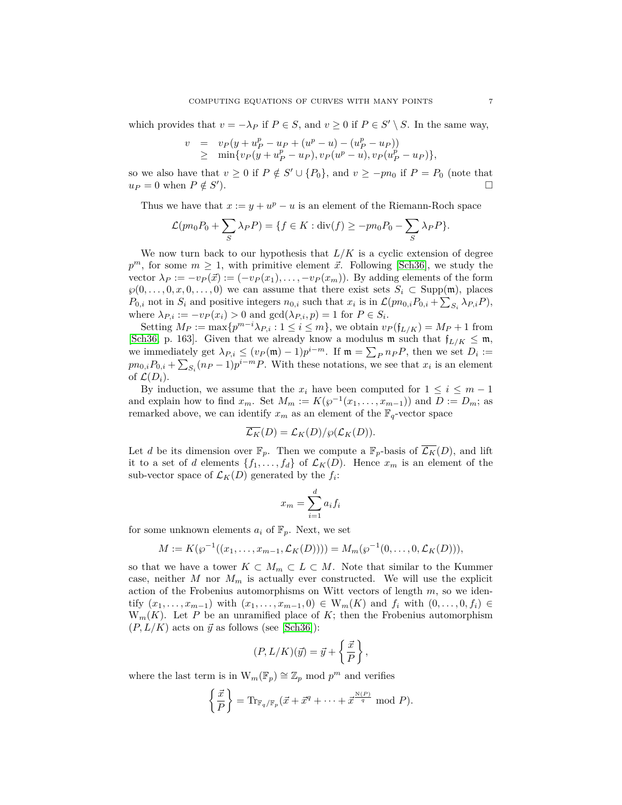which provides that  $v = -\lambda_P$  if  $P \in S$ , and  $v \ge 0$  if  $P \in S' \setminus S$ . In the same way,

$$
v = v_P(y + u_P^p - u_P + (u^p - u) - (u_P^p - u_P))
$$
  
\n
$$
\geq \min\{v_P(y + u_P^p - u_P), v_P(u^p - u), v_P(u_P^p - u_P)\},
$$

so we also have that  $v \ge 0$  if  $P \notin S' \cup \{P_0\}$ , and  $v \ge -pn_0$  if  $P = P_0$  (note that  $u_P = 0$  when  $P \notin S'$ ).

Thus we have that  $x := y + u^p - u$  is an element of the Riemann-Roch space

$$
\mathcal{L}(pn_0P_0 + \sum_S \lambda_P P) = \{ f \in K : \text{div}(f) \ge -pn_0P_0 - \sum_S \lambda_P P \}.
$$

We now turn back to our hypothesis that  $L/K$  is a cyclic extension of degree  $p^m$ , for some  $m \geq 1$ , with primitive element  $\vec{x}$ . Following [\[Sch36\]](#page-13-3), we study the vector  $\lambda_P := -v_P(\vec{x}) := (-v_P(x_1), \ldots, -v_P(x_m))$ . By adding elements of the form  $\wp(0,\ldots,0,x,0,\ldots,0)$  we can assume that there exist sets  $S_i \subset \text{Supp}(\mathfrak{m})$ , places *P*<sub>0</sub>*i*</sub> not in  $S_i$  and positive integers  $n_{0,i}$  such that  $x_i$  is in  $\mathcal{L}(pn_{0,i}P_{0,i} + \sum_{S_i} \lambda_{P,i}P)$ , where  $\lambda_{P,i} := -v_P(x_i) > 0$  and  $gcd(\lambda_{P,i}, p) = 1$  for  $P \in S_i$ .

Setting  $M_P := \max\{p^{m-i}\lambda_{P,i}: 1 \le i \le m\}$ , we obtain  $v_P(f_{L/K}) = M_P + 1$  from [\[Sch36,](#page-13-3) p. 163]. Given that we already know a modulus m such that  $f_{L/K} \leq m$ , we immediately get  $\lambda_{P,i} \leq (v_P(\mathfrak{m}) - 1)p^{i-m}$ . If  $\mathfrak{m} = \sum_P n_P P$ , then we set  $D_i :=$  $pn_{0,i}P_{0,i} + \sum_{S_i}(n_P-1)p^{i-m}P$ . With these notations, we see that  $x_i$  is an element of  $\mathcal{L}(D_i)$ .

By induction, we assume that the  $x_i$  have been computed for  $1 \leq i \leq m-1$ and explain how to find  $x_m$ . Set  $M_m := K(\wp^{-1}(x_1, \ldots, x_{m-1}))$  and  $D := D_m$ ; as remarked above, we can identify  $x_m$  as an element of the  $\mathbb{F}_q$ -vector space

$$
\overline{\mathcal{L}_K}(D) = \mathcal{L}_K(D)/\wp(\mathcal{L}_K(D)).
$$

Let *d* be its dimension over  $\mathbb{F}_p$ . Then we compute a  $\mathbb{F}_p$ -basis of  $\mathcal{L}_K(D)$ , and lift it to a set of *d* elements  $\{f_1, \ldots, f_d\}$  of  $\mathcal{L}_K(D)$ . Hence  $x_m$  is an element of the sub-vector space of  $\mathcal{L}_K(D)$  generated by the  $f_i$ :

$$
x_m = \sum_{i=1}^d a_i f_i
$$

for some unknown elements  $a_i$  of  $\mathbb{F}_p$ . Next, we set

$$
M := K(\wp^{-1}((x_1,\ldots,x_{m-1},\mathcal{L}_K(D)))) = M_m(\wp^{-1}(0,\ldots,0,\mathcal{L}_K(D))),
$$

so that we have a tower  $K \subset M_m \subset L \subset M$ . Note that similar to the Kummer case, neither  $M$  nor  $M_m$  is actually ever constructed. We will use the explicit action of the Frobenius automorphisms on Witt vectors of length *m*, so we identify  $(x_1, ..., x_{m-1})$  with  $(x_1, ..., x_{m-1}, 0)$  ∈ W<sub>m</sub>(K) and  $f_i$  with  $(0, ..., 0, f_i)$  ∈  $W_m(K)$ . Let *P* be an unramified place of *K*; then the Frobenius automorphism  $(P, L/K)$  acts on  $\vec{y}$  as follows (see [\[Sch36\]](#page-13-3)):

$$
(P, L/K)(\vec{y}) = \vec{y} + \left\{\frac{\vec{x}}{P}\right\},\,
$$

where the last term is in  $W_m(\mathbb{F}_p) \cong \mathbb{Z}_p$  mod  $p^m$  and verifies

$$
\left\{\frac{\vec{x}}{P}\right\} = \text{Tr}_{\mathbb{F}_q/\mathbb{F}_p}(\vec{x} + \vec{x}^q + \cdots + \vec{x}^{\frac{N(P)}{q}} \mod P).
$$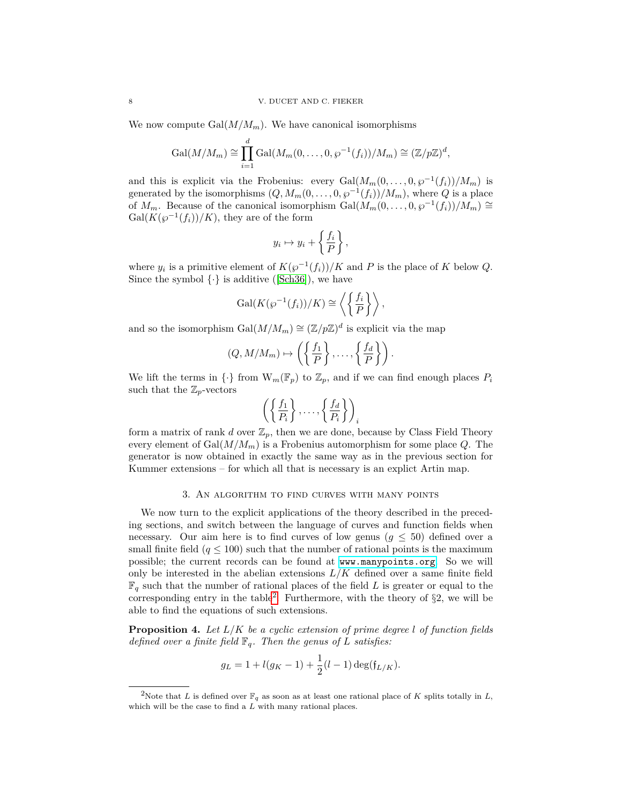We now compute  $Gal(M/M_m)$ . We have canonical isomorphisms

$$
\mathrm{Gal}(M/M_m) \cong \prod_{i=1}^d \mathrm{Gal}(M_m(0,\ldots,0,\wp^{-1}(f_i))/M_m) \cong (\mathbb{Z}/p\mathbb{Z})^d,
$$

and this is explicit via the Frobenius: every  $Gal(M_m(0,\ldots,0,\wp^{-1}(f_i))/M_m)$  is generated by the isomorphisms  $(Q, M_m(0, \ldots, 0, \wp^{-1}(f_i))/M_m)$ , where  $Q$  is a place of *M*<sub>*m*</sub>. Because of the canonical isomorphism  $Gal(M_m(0,\ldots,0,\wp^{-1}(f_i))/M_m) \cong$  $Gal(K(\wp^{-1}(f_i))/K)$ , they are of the form

$$
y_i \mapsto y_i + \left\{ \frac{f_i}{P} \right\},\
$$

where  $y_i$  is a primitive element of  $K(\wp^{-1}(f_i))/K$  and P is the place of K below *Q*. Since the symbol  $\{\cdot\}$  is additive ([\[Sch36\]](#page-13-3)), we have

$$
\operatorname{Gal}(K(\wp^{-1}(f_i))/K) \cong \left\langle \left\{ \frac{f_i}{P} \right\} \right\rangle,
$$

and so the isomorphism  $Gal(M/M_m) \cong (\mathbb{Z}/p\mathbb{Z})^d$  is explicit via the map

$$
(Q, M/M_m) \mapsto \left( \left\{ \frac{f_1}{P} \right\}, \dots, \left\{ \frac{f_d}{P} \right\} \right).
$$

We lift the terms in  $\{\cdot\}$  from  $W_m(\mathbb{F}_p)$  to  $\mathbb{Z}_p$ , and if we can find enough places  $P_i$ such that the  $\mathbb{Z}_p$ -vectors

$$
\left( \left\{ \frac{f_1}{P_i} \right\}, \dots, \left\{ \frac{f_d}{P_i} \right\} \right)_i
$$

form a matrix of rank *d* over  $\mathbb{Z}_p$ , then we are done, because by Class Field Theory every element of  $Gal(M/M_m)$  is a Frobenius automorphism for some place  $Q$ . The generator is now obtained in exactly the same way as in the previous section for Kummer extensions – for which all that is necessary is an explict Artin map.

### 3. An algorithm to find curves with many points

We now turn to the explicit applications of the theory described in the preceding sections, and switch between the language of curves and function fields when necessary. Our aim here is to find curves of low genus  $(g \leq 50)$  defined over a small finite field  $(q \leq 100)$  such that the number of rational points is the maximum possible; the current records can be found at <www.manypoints.org>. So we will only be interested in the abelian extensions  $L/K$  defined over a same finite field  $\mathbb{F}_q$  such that the number of rational places of the field *L* is greater or equal to the corresponding entry in the table<sup>[2](#page-7-1)</sup>. Furthermore, with the theory of  $\S2$ , we will be able to find the equations of such extensions.

<span id="page-7-0"></span>**Proposition 4.** *Let L/K be a cyclic extension of prime degree l of function fields defined over a finite field*  $\mathbb{F}_q$ *. Then the genus of L satisfies:* 

$$
g_L = 1 + l(g_K - 1) + \frac{1}{2}(l - 1)\deg(\mathfrak{f}_{L/K}).
$$

<span id="page-7-1"></span><sup>&</sup>lt;sup>2</sup>Note that *L* is defined over  $\mathbb{F}_q$  as soon as at least one rational place of *K* splits totally in *L*, which will be the case to find a *L* with many rational places.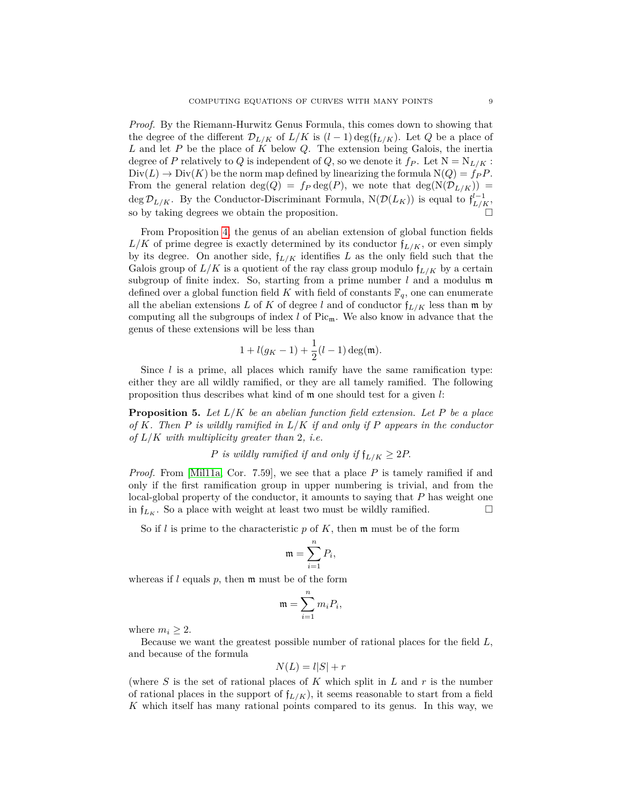*Proof.* By the Riemann-Hurwitz Genus Formula, this comes down to showing that the degree of the different  $\mathcal{D}_{L/K}$  of  $L/K$  is  $(l-1)\deg(f_{L/K})$ . Let *Q* be a place of *L* and let *P* be the place of *K* below *Q*. The extension being Galois, the inertia degree of *P* relatively to *Q* is independent of *Q*, so we denote it  $f_P$ . Let  $N = N_{L/K}$ :  $Div(L) \rightarrow Div(K)$  be the norm map defined by linearizing the formula  $N(Q) = f_P P$ . From the general relation deg( $Q$ ) =  $f_P$  deg( $P$ ), we note that deg( $N(\mathcal{D}_{L/K})$ ) = deg  $\mathcal{D}_{L/K}$ . By the Conductor-Discriminant Formula,  $N(\mathcal{D}(L_K))$  is equal to  $f_{L/K}^{l-1}$ , so by taking degrees we obtain the proposition.

From Proposition [4,](#page-7-0) the genus of an abelian extension of global function fields  $L/K$  of prime degree is exactly determined by its conductor  $f_{L/K}$ , or even simply by its degree. On another side,  $f_{L/K}$  identifies  $L$  as the only field such that the Galois group of  $L/K$  is a quotient of the ray class group modulo  $f_{L/K}$  by a certain subgroup of finite index. So, starting from a prime number  $l$  and a modulus  $\mathfrak{m}$ defined over a global function field *K* with field of constants  $\mathbb{F}_q$ , one can enumerate all the abelian extensions *L* of *K* of degree *l* and of conductor  $f_{L/K}$  less than m by computing all the subgroups of index  $l$  of Pic<sub>m</sub>. We also know in advance that the genus of these extensions will be less than

$$
1+l(g_K-1)+\frac{1}{2}(l-1)\deg(\mathfrak{m}).
$$

Since  $l$  is a prime, all places which ramify have the same ramification type: either they are all wildly ramified, or they are all tamely ramified. The following proposition thus describes what kind of m one should test for a given *l*:

<span id="page-8-0"></span>**Proposition 5.** *Let L/K be an abelian function field extension. Let P be a place of K. Then P is wildly ramified in L/K if and only if P appears in the conductor of L/K with multiplicity greater than* 2*, i.e.*

*P* is wildly ramified if and only if  $f_{L/K} \geq 2P$ .

*Proof.* From [\[Mil11a,](#page-12-13) Cor. 7.59], we see that a place *P* is tamely ramified if and only if the first ramification group in upper numbering is trivial, and from the local-global property of the conductor, it amounts to saying that *P* has weight one in  $f_{L_K}$ . So a place with weight at least two must be wildly ramified.

So if *l* is prime to the characteristic *p* of *K*, then m must be of the form

$$
\mathfrak{m}=\sum_{i=1}^n P_i,
$$

whereas if *l* equals *p*, then m must be of the form

$$
\mathfrak{m}=\sum_{i=1}^n m_iP_i,
$$

where  $m_i \geq 2$ .

Because we want the greatest possible number of rational places for the field *L*, and because of the formula

$$
N(L) = l|S| + r
$$

(where *S* is the set of rational places of *K* which split in *L* and *r* is the number of rational places in the support of  $f_{L/K}$ , it seems reasonable to start from a field *K* which itself has many rational points compared to its genus. In this way, we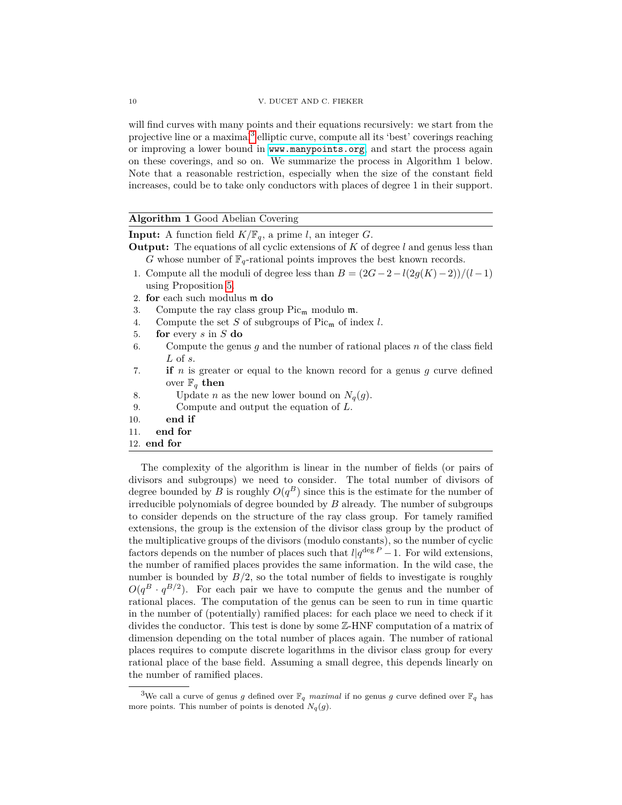will find curves with many points and their equations recursively: we start from the projective line or a maximal<sup>[3](#page-9-0)</sup> elliptic curve, compute all its 'best' coverings reaching or improving a lower bound in <www.manypoints.org>, and start the process again on these coverings, and so on. We summarize the process in Algorithm 1 below. Note that a reasonable restriction, especially when the size of the constant field increases, could be to take only conductors with places of degree 1 in their support.

## **Algorithm 1** Good Abelian Covering

**Input:** A function field  $K/\mathbb{F}_q$ , a prime *l*, an integer *G*.

- **Output:** The equations of all cyclic extensions of *K* of degree *l* and genus less than *G* whose number of  $\mathbb{F}_q$ -rational points improves the best known records.
- 1. Compute all the moduli of degree less than  $B = (2G 2 l(2g(K) 2))/(l 1)$ using Proposition [5.](#page-8-0)
- 2. **for** each such modulus m **do**
- 3. Compute the ray class group  $Pic_{\mathfrak{m}}$  modulo  $\mathfrak{m}$ .
- 4. Compute the set *S* of subgroups of Pic<sup>m</sup> of index *l*.
- 5. **for** every *s* in *S* **do**
- 6. Compute the genus *g* and the number of rational places *n* of the class field *L* of *s*.
- 7. **if** *n* is greater or equal to the known record for a genus *g* curve defined over  $\mathbb{F}_q$  then
- 8. Update *n* as the new lower bound on  $N_q(g)$ .
- 9. Compute and output the equation of *L*.
- 10. **end if**
- 11. **end for**
- 12. **end for**

The complexity of the algorithm is linear in the number of fields (or pairs of divisors and subgroups) we need to consider. The total number of divisors of degree bounded by *B* is roughly  $O(q^B)$  since this is the estimate for the number of irreducible polynomials of degree bounded by *B* already. The number of subgroups to consider depends on the structure of the ray class group. For tamely ramified extensions, the group is the extension of the divisor class group by the product of the multiplicative groups of the divisors (modulo constants), so the number of cyclic factors depends on the number of places such that  $l|q^{\deg P} - 1$ . For wild extensions, the number of ramified places provides the same information. In the wild case, the number is bounded by  $B/2$ , so the total number of fields to investigate is roughly  $O(q^B \cdot q^{B/2})$ . For each pair we have to compute the genus and the number of rational places. The computation of the genus can be seen to run in time quartic in the number of (potentially) ramified places: for each place we need to check if it divides the conductor. This test is done by some Z-HNF computation of a matrix of dimension depending on the total number of places again. The number of rational places requires to compute discrete logarithms in the divisor class group for every rational place of the base field. Assuming a small degree, this depends linearly on the number of ramified places.

<span id="page-9-0"></span><sup>&</sup>lt;sup>3</sup>We call a curve of genus *g* defined over  $\mathbb{F}_q$  *maximal* if no genus *g* curve defined over  $\mathbb{F}_q$  has more points. This number of points is denoted  $N_q(g)$ .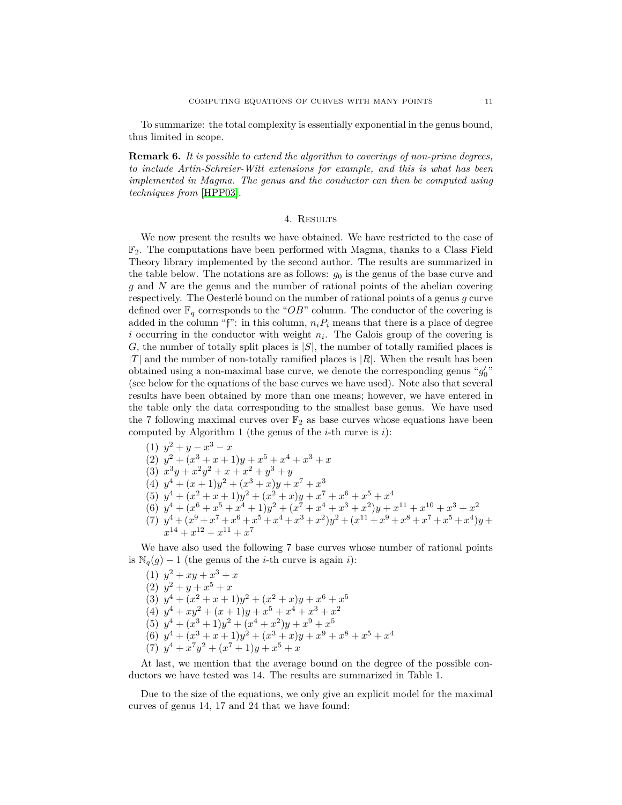To summarize: the total complexity is essentially exponential in the genus bound, thus limited in scope.

**Remark 6.** *It is possible to extend the algorithm to coverings of non-prime degrees, to include Artin-Schreier-Witt extensions for example, and this is what has been implemented in Magma. The genus and the conductor can then be computed using techniques from* [\[HPP03\]](#page-12-10)*.*

#### 4. RESULTS

We now present the results we have obtained. We have restricted to the case of  $\mathbb{F}_2$ . The computations have been performed with Magma, thanks to a Class Field Theory library implemented by the second author. The results are summarized in the table below. The notations are as follows:  $g_0$  is the genus of the base curve and *g* and *N* are the genus and the number of rational points of the abelian covering respectively. The Oesterlé bound on the number of rational points of a genus *g* curve defined over  $\mathbb{F}_q$  corresponds to the "*OB*" column. The conductor of the covering is added in the column "f": in this column,  $n_i P_i$  means that there is a place of degree *i* occurring in the conductor with weight  $n_i$ . The Galois group of the covering is *G*, the number of totally split places is |*S*|, the number of totally ramified places is  $|T|$  and the number of non-totally ramified places is  $|R|$ . When the result has been obtained using a non-maximal base curve, we denote the corresponding genus " $g_0'$ " (see below for the equations of the base curves we have used). Note also that several results have been obtained by more than one means; however, we have entered in the table only the data corresponding to the smallest base genus. We have used the 7 following maximal curves over  $\mathbb{F}_2$  as base curves whose equations have been computed by Algorithm 1 (the genus of the *i*-th curve is *i*):

(1)  $y^2 + y - x^3 - x$ (2)  $y^2 + (x^3 + x + 1)y + x^5 + x^4 + x^3 + x$ (3)  $x^3y + x^2y^2 + x + x^2 + y^3 + y$ (4)  $y^4 + (x+1)y^2 + (x^3+x)y + x^7 + x^3$ (5)  $y^4 + (x^2 + x + 1)y^2 + (x^2 + x)y + x^7 + x^6 + x^5 + x^4$ (6)  $y^4 + (x^6 + x^5 + x^4 + 1)y^2 + (x^7 + x^4 + x^3 + x^2)y + x^{11} + x^{10} + x^3 + x^2$  $(7)$   $y^4 + (x^9 + x^7 + x^6 + x^5 + x^4 + x^3 + x^2)y^2 + (x^{11} + x^9 + x^8 + x^7 + x^5 + x^4)y +$  $x^{14} + x^{12} + x^{11} + x^7$ 

We have also used the following 7 base curves whose number of rational points is  $\mathbb{N}_q(g) - 1$  (the genus of the *i*-th curve is again *i*):

(1)  $y^2 + xy + x^3 + x$ (2)  $y^2 + y + x^5 + x$ (3)  $y^4 + (x^2 + x + 1)y^2 + (x^2 + x)y + x^6 + x^5$ (4)  $y^4 + xy^2 + (x+1)y + x^5 + x^4 + x^3 + x^2$ (5)  $y^4 + (x^3 + 1)y^2 + (x^4 + x^2)y + x^9 + x^5$ (6)  $y^4 + (x^3 + x + 1)y^2 + (x^3 + x)y + x^9 + x^8 + x^5 + x^4$ (7)  $y^4 + x^7y^2 + (x^7 + 1)y + x^5 + x$ 

At last, we mention that the average bound on the degree of the possible conductors we have tested was 14. The results are summarized in Table 1.

Due to the size of the equations, we only give an explicit model for the maximal curves of genus 14, 17 and 24 that we have found: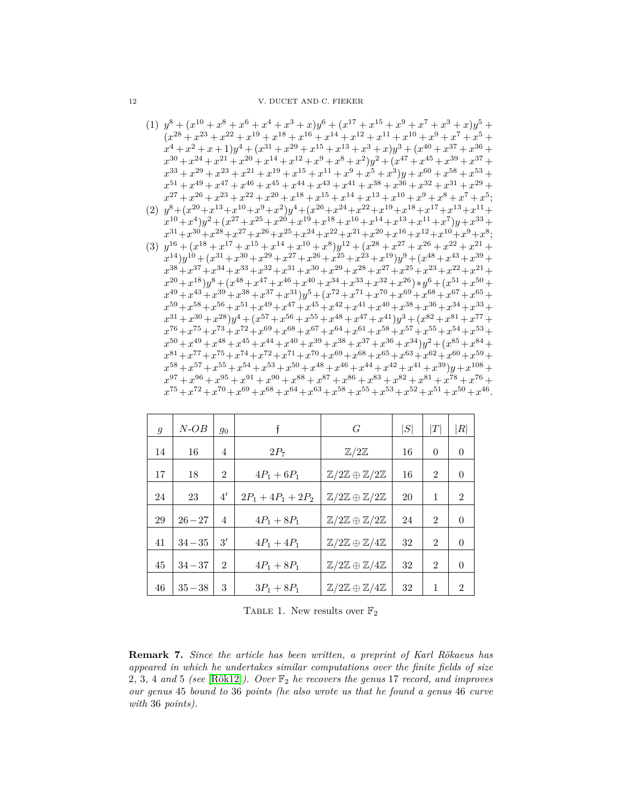12 V. DUCET AND C. FIEKER

- $(1)$   $y^{8} + (x^{10} + x^{8} + x^{6} + x^{4} + x^{3} + x)y^{6} + (x^{17} + x^{15} + x^{9} + x^{7} + x^{3} + x)y^{5} +$  $(x^{28} + x^{23} + x^{22} + x^{19} + x^{18} + x^{16} + x^{14} + x^{12} + x^{11} + x^{10} + x^9 + x^7 + x^5 +$  $x^4 + x^2 + x + 1$ ) $y^4 + (x^{31} + x^{29} + x^{15} + x^{13} + x^3 + x) y^3 + (x^{40} + x^{37} + x^{36} + x^4)$  $x^{30} + x^{24} + x^{21} + x^{20} + x^{14} + x^{12} + x^9 + x^8 + x^2)y^2 + (x^{47} + x^{45} + x^{39} + x^{37} + x^{48} + x^{49})$  $x^{33} + x^{29} + x^{23} + x^{21} + x^{19} + x^{15} + x^{11} + x^9 + x^5 + x^3)y + x^{60} + x^{58} + x^{53} + x^{54}$  $x^{51} + x^{49} + x^{47} + x^{46} + x^{45} + x^{44} + x^{43} + x^{41} + x^{38} + x^{36} + x^{32} + x^{31} + x^{29} +$  $x^{27} + x^{26} + x^{23} + x^{22} + x^{20} + x^{18} + x^{15} + x^{14} + x^{13} + x^{10} + x^9 + x^8 + x^7 + x^5$ ;
- (2)  $y^8 + (x^{20} + x^{13} + x^{10} + x^9 + x^2)y^4 + (x^{26} + x^{24} + x^{22} + x^{19} + x^{18} + x^{17} + x^{13} + x^{11} + x^{10} + x^{10} + x^{11} + x^{12} + x^{13} + x^{14} + x^{15} + x^{16} + x^{17} + x^{18} + x^{19} + x^{19} + x^{10} + x^{10} + x^{11} + x^{12} + x^{13} + x^{14} + x^{15} + x^{16} + x^{17} + x^{18} + x$  $x^{10} + x^4$ ) $y^2 + (x^{27} + x^{25} + x^{20} + x^{19} + x^{18} + x^{16} + x^{14} + x^{13} + x^{11} + x^7)$  $y + x^{33} +$  $x^{31}+x^{30}+x^{28}+x^{27}+x^{26}+x^{25}+x^{24}+x^{22}+x^{21}+x^{20}+x^{16}+x^{12}+x^{10}+x^9+x^8$ ;
- (3)  $y^{16} + (x^{18} + x^{17} + x^{15} + x^{14} + x^{10} + x^8)y^{12} + (x^{28} + x^{27} + x^{26} + x^{22} + x^{21} + x^{24})$  $x^{14}$ ) $y^{10} + (x^{31} + x^{30} + x^{29} + x^{27} + x^{26} + x^{25} + x^{23} + x^{19})y^9 + (x^{48} + x^{43} + x^{39} + x^{40})y^9 + (x^{40} + x^{41} + x^{42})y^9 + (x^{40} + x^{43} + x^{43})y^9 + (x^{41} + x^{42})y^9 + (x^{42} + x^{43} + x^{44})y^9 + (x^{43} + x^{45} + x^{46})y^9 + (x^{44} + x^{45} + x^{46})y^9 +$  $x^{38} + x^{37} + x^{34} + x^{33} + x^{32} + x^{31} + x^{30} + x^{29} + x^{28} + x^{27} + x^{25} + x^{23} + x^{22} + x^{21} +$  $x^{20} + x^{18}$ ) $y^8 + (x^{48} + x^{47} + x^{46} + x^{40} + x^{34} + x^{33} + x^{32} + x^{26}) * y^6 + (x^{51} + x^{50} + x^{50})$  $x^{49} + x^{43} + x^{39} + x^{38} + x^{37} + x^{31}$ ) $y^5 + (x^{72} + x^{71} + x^{70} + x^{69} + x^{68} + x^{67} + x^{65} + x^{67} + x^{67} + x^{67} + x^{67} + x^{67} + x^{67} + x^{67} + x^{67} + x^{67} + x^{67} + x^{67} + x^{67} + x^{67} + x^{67} + x^{67} + x^{67} + x^{67} + x^{67} + x^{67} + x^{67} + x^{67} + x^{67} + x^{6$  $x^{59} + x^{58} + x^{56} + x^{51} + x^{49} + x^{47} + x^{45} + x^{42} + x^{41} + x^{40} + x^{38} + x^{36} + x^{34} + x^{33} +$  $x^{31} + x^{30} + x^{28}$ ) $y^4 + (x^{57} + x^{56} + x^{55} + x^{48} + x^{47} + x^{41})y^3 + (x^{82} + x^{81} + x^{77} + x^{81})y^2 + (x^{84} + x^{85} + x^{86} + x^{87})y^3 + (x^{85} + x^{87} + x^{87})y^4 + (x^{86} + x^{87} + x^{87})y^3 + (x^{87} + x^{87} + x^{87})y^2 + (x^{87} + x^{87} + x^{87})y^3 + (x^{88} + x^{87}$  $x^{76} + x^{75} + x^{73} + x^{72} + x^{69} + x^{68} + x^{67} + x^{64} + x^{61} + x^{58} + x^{57} + x^{55} + x^{54} + x^{53} + x^{55} + x^{56} + x^{57} + x^{58} + x^{59} + x^{59} + x^{59} + x^{59} + x^{59} + x^{59} + x^{59} + x^{59} + x^{59} + x^{59} + x^{59} + x^{59} + x^{59} + x^{59} + x^{59} + x^{59} + x^{59} + x^{59} + x^{59$  $x^{50} + x^{49} + x^{48} + x^{45} + x^{44} + x^{40} + x^{39} + x^{38} + x^{37} + x^{36} + x^{34}$ ) $y^2 + (x^{85} + x^{84} + x^{85})$  $x^{81} + x^{77} + x^{75} + x^{74} + x^{72} + x^{71} + x^{70} + x^{69} + x^{68} + x^{65} + x^{63} + x^{62} + x^{60} + x^{59} + x^{61} + x^{62} + x^{63} + x^{64} + x^{65} + x^{66} + x^{67} + x^{68} + x^{69} + x^{60} + x^{60} + x^{60} + x^{60} + x^{60} + x^{60} + x^{60} + x^{60} + x^{60} + x^{60} + x^{60} + x^{60} + x^{60} + x^{60$  $x^{58} + x^{57} + x^{55} + x^{54} + x^{53} + x^{50} + x^{48} + x^{46} + x^{44} + x^{42} + x^{41} + x^{39}$ ) $y + x^{108} + x^{108} + x^{108} + x^{108} + x^{108} + x^{108} + x^{108} + x^{108} + x^{108} + x^{108} + x^{108} + x^{108} + x^{108} + x^{108} + x^{108} + x^{108} + x^{108} + x^{108} + x^{108} + x^{108} + x^{10$  $x^{97} + x^{96} + x^{95} + x^{91} + x^{90} + x^{88} + x^{87} + x^{86} + x^{83} + x^{82} + x^{81} + x^{78} + x^{76} + x^{76} + x^{77} + x^{78} + x^{78} + x^{78} + x^{78} + x^{78} + x^{78} + x^{78} + x^{78} + x^{78} + x^{78} + x^{78} + x^{78} + x^{78} + x^{78} + x^{78} + x^{78} + x^{78} + x^{78} + x^{78} + x^{78} + x^{78} + x^{78$  $x^{75} + x^{72} + x^{70} + x^{69} + x^{68} + x^{64} + x^{63} + x^{58} + x^{55} + x^{53} + x^{52} + x^{51} + x^{50} + x^{46}$ .

| $\mathfrak{g}$ | N-OB      | $g_0$          |                      | G                                                      | $\left  S \right $ | $\, T \,$      | $\left  R \right $ |
|----------------|-----------|----------------|----------------------|--------------------------------------------------------|--------------------|----------------|--------------------|
| 14             | 16        | 4              | $2P_7$               | $\mathbb{Z}/2\mathbb{Z}$                               | 16                 | $\theta$       | $\overline{0}$     |
| 17             | 18        | $\overline{2}$ | $4P_1 + 6P_1$        | $\mathbb{Z}/2\mathbb{Z} \oplus \mathbb{Z}/2\mathbb{Z}$ | 16                 | 2              | $\theta$           |
| 24             | 23        | 4'             | $2P_1 + 4P_1 + 2P_2$ | $\mathbb{Z}/2\mathbb{Z} \oplus \mathbb{Z}/2\mathbb{Z}$ | 20                 | 1              | $\overline{2}$     |
| 29             | $26 - 27$ | $\overline{4}$ | $4P_1 + 8P_1$        | $\mathbb{Z}/2\mathbb{Z} \oplus \mathbb{Z}/2\mathbb{Z}$ | 24                 | $\overline{2}$ | $\theta$           |
| 41             | $34 - 35$ | 3'             | $4P_1 + 4P_1$        | $\mathbb{Z}/2\mathbb{Z} \oplus \mathbb{Z}/4\mathbb{Z}$ | 32                 | $\overline{2}$ | $\theta$           |
| 45             | $34 - 37$ | $\overline{2}$ | $4P_1 + 8P_1$        | $\mathbb{Z}/2\mathbb{Z} \oplus \mathbb{Z}/4\mathbb{Z}$ | 32                 | $\overline{2}$ | $\theta$           |
| 46             | $35 - 38$ | 3              | $3P_1 + 8P_1$        | $\mathbb{Z}/2\mathbb{Z} \oplus \mathbb{Z}/4\mathbb{Z}$ | 32                 | 1              | $\mathfrak{D}$     |

TABLE 1. New results over  $\mathbb{F}_2$ 

**Remark 7.** *Since the article has been written, a preprint of Karl Rökaeus has appeared in which he undertakes similar computations over the finite fields of size* 2, 3, 4 and 5 (see [\[Rök12\]](#page-13-5)). Over  $\mathbb{F}_2$  *he recovers the genus* 17 *record, and improves our genus* 45 *bound to* 36 *points (he also wrote us that he found a genus* 46 *curve with* 36 *points).*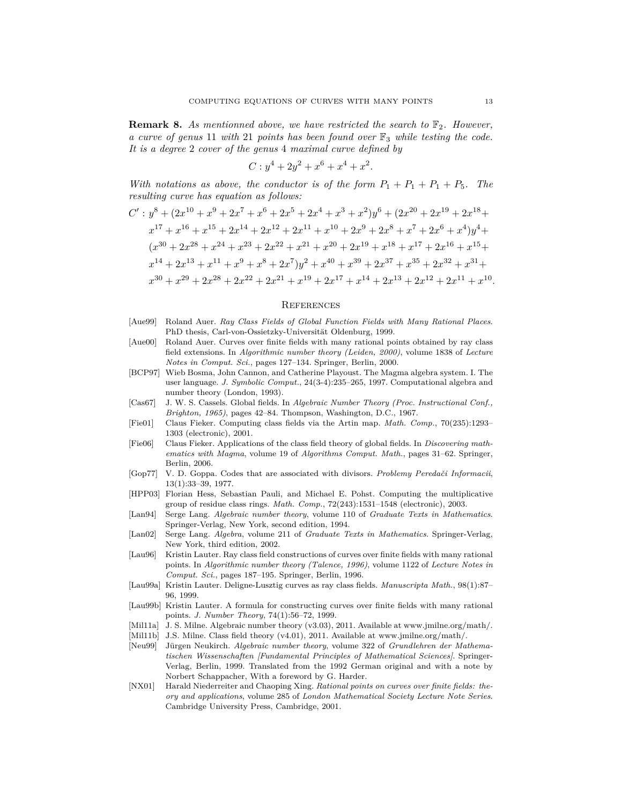**Remark 8.** As mentionned above, we have restricted the search to  $\mathbb{F}_2$ . However, *a curve of genus* 11 *with* 21 *points has been found over* F<sup>3</sup> *while testing the code. It is a degree* 2 *cover of the genus* 4 *maximal curve defined by*

$$
C: y^4 + 2y^2 + x^6 + x^4 + x^2.
$$

*With notations as above, the conductor is of the form*  $P_1 + P_1 + P_1 + P_5$ . The *resulting curve has equation as follows:*

$$
C': y^{8} + (2x^{10} + x^{9} + 2x^{7} + x^{6} + 2x^{5} + 2x^{4} + x^{3} + x^{2})y^{6} + (2x^{20} + 2x^{19} + 2x^{18} + x^{17} + x^{16} + x^{15} + 2x^{14} + 2x^{12} + 2x^{11} + x^{10} + 2x^{9} + 2x^{8} + x^{7} + 2x^{6} + x^{4})y^{4} +
$$
  
\n
$$
(x^{30} + 2x^{28} + x^{24} + x^{23} + 2x^{22} + x^{21} + x^{20} + 2x^{19} + x^{18} + x^{17} + 2x^{16} + x^{15} + x^{14} + 2x^{13} + x^{11} + x^{9} + x^{8} + 2x^{7})y^{2} + x^{40} + x^{39} + 2x^{37} + x^{35} + 2x^{32} + x^{31} + x^{30} + x^{29} + 2x^{28} + 2x^{22} + 2x^{21} + x^{19} + 2x^{17} + x^{14} + 2x^{13} + 2x^{12} + 2x^{11} + x^{10}.
$$

#### **REFERENCES**

- <span id="page-12-5"></span>[Aue99] Roland Auer. *Ray Class Fields of Global Function Fields with Many Rational Places*. PhD thesis, Carl-von-Ossietzky-Universität Oldenburg, 1999.
- <span id="page-12-6"></span>[Aue00] Roland Auer. Curves over finite fields with many rational points obtained by ray class field extensions. In *Algorithmic number theory (Leiden, 2000)*, volume 1838 of *Lecture Notes in Comput. Sci.*, pages 127–134. Springer, Berlin, 2000.
- [BCP97] Wieb Bosma, John Cannon, and Catherine Playoust. The Magma algebra system. I. The user language. *J. Symbolic Comput.*, 24(3-4):235–265, 1997. Computational algebra and number theory (London, 1993).
- [Cas67] J. W. S. Cassels. Global fields. In *Algebraic Number Theory (Proc. Instructional Conf., Brighton, 1965)*, pages 42–84. Thompson, Washington, D.C., 1967.
- <span id="page-12-9"></span>[Fie01] Claus Fieker. Computing class fields via the Artin map. *Math. Comp.*, 70(235):1293– 1303 (electronic), 2001.
- [Fie06] Claus Fieker. Applications of the class field theory of global fields. In *Discovering mathematics with Magma*, volume 19 of *Algorithms Comput. Math.*, pages 31–62. Springer, Berlin, 2006.
- <span id="page-12-0"></span>[Gop77] V. D. Goppa. Codes that are associated with divisors. *Problemy Peredači Informacii*, 13(1):33–39, 1977.
- <span id="page-12-10"></span>[HPP03] Florian Hess, Sebastian Pauli, and Michael E. Pohst. Computing the multiplicative group of residue class rings. *Math. Comp.*, 72(243):1531–1548 (electronic), 2003.
- <span id="page-12-7"></span>[Lan94] Serge Lang. *Algebraic number theory*, volume 110 of *Graduate Texts in Mathematics*. Springer-Verlag, New York, second edition, 1994.
- <span id="page-12-12"></span>[Lan02] Serge Lang. *Algebra*, volume 211 of *Graduate Texts in Mathematics*. Springer-Verlag, New York, third edition, 2002.
- <span id="page-12-2"></span>[Lau96] Kristin Lauter. Ray class field constructions of curves over finite fields with many rational points. In *Algorithmic number theory (Talence, 1996)*, volume 1122 of *Lecture Notes in Comput. Sci.*, pages 187–195. Springer, Berlin, 1996.
- <span id="page-12-3"></span>[Lau99a] Kristin Lauter. Deligne-Lusztig curves as ray class fields. *Manuscripta Math.*, 98(1):87– 96, 1999.
- <span id="page-12-4"></span>[Lau99b] Kristin Lauter. A formula for constructing curves over finite fields with many rational points. *J. Number Theory*, 74(1):56–72, 1999.
- <span id="page-12-13"></span>[Mil11a] J. S. Milne. Algebraic number theory (v3.03), 2011. Available at www.jmilne.org/math/.
- <span id="page-12-8"></span>[Mil11b] J.S. Milne. Class field theory (v4.01), 2011. Available at www.jmilne.org/math/.
- <span id="page-12-11"></span>[Neu99] Jürgen Neukirch. *Algebraic number theory*, volume 322 of *Grundlehren der Mathematischen Wissenschaften [Fundamental Principles of Mathematical Sciences]*. Springer-Verlag, Berlin, 1999. Translated from the 1992 German original and with a note by Norbert Schappacher, With a foreword by G. Harder.
- <span id="page-12-1"></span>[NX01] Harald Niederreiter and Chaoping Xing. *Rational points on curves over finite fields: theory and applications*, volume 285 of *London Mathematical Society Lecture Note Series*. Cambridge University Press, Cambridge, 2001.